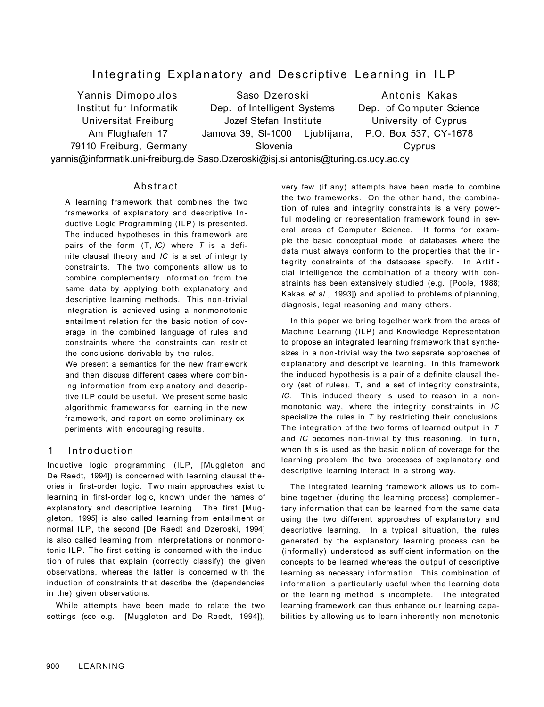# Integrating Explanatory and Descriptive Learning in ILP

Yannis Dimopoulos Saso Dzeroski Natonis Kakas

Institut fur Informatik Dep. of Intelligent Systems Dep. of Computer Science Universitat Freiburg Jozef Stefan Institute University of Cyprus Am Flughafen 17 Jamova 39, SI-1000 Ljublijana, P.O. Box 537, CY-1678 79110 Freiburg, Germany Slovenia Cyprus

yannis@informatik.uni-freiburg.de Saso.Dzeroski@isj.si antonis@turing.cs.ucy.ac.cy

#### **Abstract**

A learning framework that combines the two frameworks of explanatory and descriptive Inductive Logic Programming (ILP) is presented. The induced hypotheses in this framework are pairs of the form (T, *IC)* where *T* is a definite clausal theory and *IC* is a set of integrity constraints. The two components allow us to combine complementary information from the same data by applying both explanatory and descriptive learning methods. This non-trivial integration is achieved using a nonmonotonic entailment relation for the basic notion of coverage in the combined language of rules and constraints where the constraints can restrict the conclusions derivable by the rules.

We present a semantics for the new framework and then discuss different cases where combining information from explanatory and descriptive ILP could be useful. We present some basic algorithmic frameworks for learning in the new framework, and report on some preliminary experiments with encouraging results.

### 1 Introduction

Inductive logic programming (ILP, [Muggleton and De Raedt, 1994]) is concerned with learning clausal theories in first-order logic. Two main approaches exist to learning in first-order logic, known under the names of explanatory and descriptive learning. The first [Muggleton, 1995] is also called learning from entailment or normal ILP, the second [De Raedt and Dzeroski, 1994] is also called learning from interpretations or nonmonotonic ILP. The first setting is concerned with the induction of rules that explain (correctly classify) the given observations, whereas the latter is concerned with the induction of constraints that describe the (dependencies in the) given observations.

While attempts have been made to relate the two settings (see e.g. [Muggleton and De Raedt, 1994]), very few (if any) attempts have been made to combine the two frameworks. On the other hand, the combination of rules and integrity constraints is a very powerful modeling or representation framework found in several areas of Computer Science. It forms for example the basic conceptual model of databases where the data must always conform to the properties that the integrity constraints of the database specify. In Artificial Intelligence the combination of a theory with constraints has been extensively studied (e.g. [Poole, 1988; Kakas *et* a/., 1993]) and applied to problems of planning, diagnosis, legal reasoning and many others.

In this paper we bring together work from the areas of Machine Learning (ILP) and Knowledge Representation to propose an integrated learning framework that synthesizes in a non-trivial way the two separate approaches of explanatory and descriptive learning. In this framework the induced hypothesis is a pair of a definite clausal theory (set of rules), T, and a set of integrity constraints, *IC.* This induced theory is used to reason in a nonmonotonic way, where the integrity constraints in *IC*  specialize the rules in *T* by restricting their conclusions. The integration of the two forms of learned output in *T*  and *IC* becomes non-trivial by this reasoning. In turn, when this is used as the basic notion of coverage for the learning problem the two processes of explanatory and descriptive learning interact in a strong way.

The integrated learning framework allows us to combine together (during the learning process) complementary information that can be learned from the same data using the two different approaches of explanatory and descriptive learning. In a typical situation, the rules generated by the explanatory learning process can be (informally) understood as sufficient information on the concepts to be learned whereas the output of descriptive learning as necessary information. This combination of information is particularly useful when the learning data or the learning method is incomplete. The integrated learning framework can thus enhance our learning capabilities by allowing us to learn inherently non-monotonic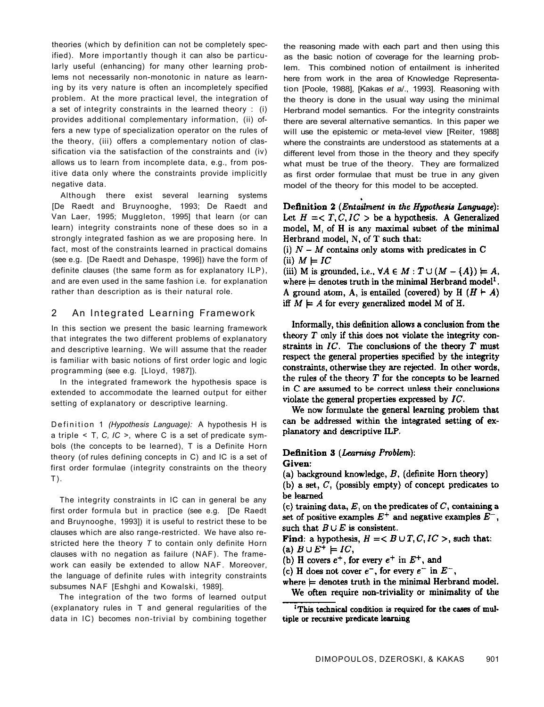theories (which by definition can not be completely specified). More importantly though it can also be particularly useful (enhancing) for many other learning problems not necessarily non-monotonic in nature as learning by its very nature is often an incompletely specified problem. At the more practical level, the integration of a set of integrity constraints in the learned theory : (i) provides additional complementary information, (ii) offers a new type of specialization operator on the rules of the theory, (iii) offers a complementary notion of classification via the satisfaction of the constraints and (iv) allows us to learn from incomplete data, e.g., from positive data only where the constraints provide implicitly negative data.

Although there exist several learning systems [De Raedt and Bruynooghe, 1993; De Raedt and Van Laer, 1995; Muggleton, 1995] that learn (or can learn) integrity constraints none of these does so in a strongly integrated fashion as we are proposing here. In fact, most of the constraints learned in practical domains (see e.g. [De Raedt and Dehaspe, 1996]) have the form of definite clauses (the same form as for explanatory ILP), and are even used in the same fashion i.e. for explanation rather than description as is their natural role.

### 2 An Integrated Learning Framework

In this section we present the basic learning framework that integrates the two different problems of explanatory and descriptive learning. We will assume that the reader is familiar with basic notions of first order logic and logic programming (see e.g. [Lloyd, 1987]).

In the integrated framework the hypothesis space is extended to accommodate the learned output for either setting of explanatory or descriptive learning.

Definitio n 1 *(Hypothesis Language):* A hypothesis H is a triple < T, *C, IC* >, where C is a set of predicate symbols (the concepts to be learned), T is a Definite Horn theory (of rules defining concepts in C) and IC is a set of first order formulae (integrity constraints on the theory T).

The integrity constraints in IC can in general be any first order formula but in practice (see e.g. [De Raedt and Bruynooghe, 1993]) it is useful to restrict these to be clauses which are also range-restricted. We have also restricted here the theory *T* to contain only definite Horn clauses with no negation as failure (NAF). The framework can easily be extended to allow NAF. Moreover, the language of definite rules with integrity constraints subsumes NAF [Eshghi and Kowalski, 1989].

The integration of the two forms of learned output (explanatory rules in T and general regularities of the data in IC) becomes non-trivial by combining together

the reasoning made with each part and then using this as the basic notion of coverage for the learning problem. This combined notion of entailment is inherited here from work in the area of Knowledge Representation [Poole, 1988], [Kakas *et* a/., 1993]. Reasoning with the theory is done in the usual way using the minimal Herbrand model semantics. For the integrity constraints there are several alternative semantics. In this paper we will use the epistemic or meta-level view [Reiter, 1988] where the constraints are understood as statements at a different level from those in the theory and they specify what must be true of the theory. They are formalized as first order formulae that must be true in any given model of the theory for this model to be accepted.

Definition 2 (Entailment in the Hypothesis Language): Let  $H = < T, C, IC >$  be a hypothesis. A Generalized model, M, of H is any maximal subset of the minimal Herbrand model, N, of T such that:

(i)  $N - M$  contains only atoms with predicates in C (ii)  $M \models IC$ 

(iii) M is grounded, i.e.,  $\forall A \in M : T \cup (M - \{A\}) \models A$ , where  $\models$  denotes truth in the minimal Herbrand model<sup>1</sup>. A ground atom, A, is entailed (covered) by H  $(H \nvdash A)$ iff  $M \models A$  for every generalized model M of H.

Informally, this definition allows a conclusion from the theory  $T$  only if this does not violate the integrity constraints in  $IC$ . The conclusions of the theory  $T$  must respect the general properties specified by the integrity constraints, otherwise they are rejected. In other words, the rules of the theory  $T$  for the concepts to be learned in C are assumed to be correct unless their conclusions violate the general properties expressed by  $\mathcal{I}\mathcal{C}$ .

We now formulate the general learning problem that can be addressed within the integrated setting of explanatory and descriptive ILP.

#### Definition 3 (Learning Problem):

Given:

(a) background knowledge,  $B$ , (definite Horn theory)

(b) a set,  $C$ , (possibly empty) of concept predicates to be learned

(c) training data,  $E$ , on the predicates of  $C$ , containing a set of positive examples  $E^+$  and negative examples  $E^-$ , such that  $B \cup E$  is consistent.

**Find:** a hypothesis,  $H = \langle B \cup T, C, IC \rangle$ , such that:  $\rightarrow$   $\mathbf{p}$   $\rightarrow$   $\mathbf{r}$  +  $\rightarrow$  $\overline{z}$ 

$$
(\mathbf{a}) \mathbf{B} \cup \mathbf{C} \quad \models \mathbf{IC}
$$

(b) H covers  $e^+$ , for every  $e^+$  in  $E^+$ , and

(c) H does not cover  $e^-$ , for every  $e^-$  in  $E^-$ ,

where  $\models$  denotes truth in the minimal Herbrand model. We often require non-triviality or minimality of the

<sup>&</sup>lt;sup>1</sup>This technical condition is required for the cases of multiple or recursive predicate learning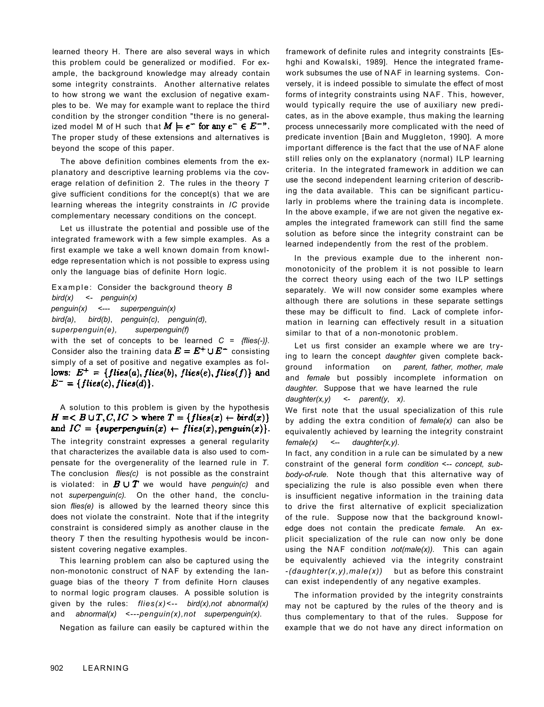learned theory H. There are also several ways in which this problem could be generalized or modified. For example, the background knowledge may already contain some integrity constraints. Another alternative relates to how strong we want the exclusion of negative examples to be. We may for example want to replace the third condition by the stronger condition "there is no generalized model M of H such that  $M \models e^-$  for any  $e^- \in E^{-n}$ . The proper study of these extensions and alternatives is beyond the scope of this paper.

The above definition combines elements from the explanatory and descriptive learning problems via the coverage relation of definition 2. The rules in the theory *T*  give sufficient conditions for the concept(s) that we are learning whereas the integrity constraints in *IC* provide complementary necessary conditions on the concept.

Let us illustrate the potential and possible use of the integrated framework with a few simple examples. As a first example we take a well known domain from knowledge representation which is not possible to express using only the language bias of definite Horn logic.

Example: Consider the background theory B *bird(x)* <- *penguin(x) penguin(x) <--- superpenguin(x) bird{a)*, *bird(b)*, *penguin(c)*, *penguin(d)*, s*uperpenguin(e), superpenguin(f)*  with the set of concepts to be learned *C* = *{flies(-)}.*  Consider also the training data  $E = E^+ \cup E^-$  consisting simply of a set of positive and negative examples as follows:  $E^+ = \{flies(a), flies(b), flies(e), flies(f)\}$  and

 $E^- = \{ files(c), files(d) \}.$ 

A solution to this problem is given by the hypothesis  $H = \langle B \cup T, C, IC \rangle$  where  $T = \{ files(x) \leftarrow bird(x) \}$ and  $IC = \{superpenguin(x) \leftarrow files(x), penguin(x)\}.$ The integrity constraint expresses a general regularity that characterizes the available data is also used to compensate for the overgenerality of the learned rule in *T.*  The conclusion *flies(c)* is not possible as the constraint is violated: in  $B \cup T$  we would have penguin(c) and not *superpenguin(c).* On the other hand, the conclusion *flies(e)* is allowed by the learned theory since this does not violate the constraint. Note that if the integrity constraint is considered simply as another clause in the theory *T* then the resulting hypothesis would be inconsistent covering negative examples.

This learning problem can also be captured using the non-monotonic construct of NAF by extending the language bias of the theory *T* from definite Horn clauses to normal logic program clauses. A possible solution is given by the rules: *flies(x)<-- bird(x),not abnormal(x)*  and *abnormal(x) <---penguin(x),not superpenguin(x)*.

Negation as failure can easily be captured within the

framework of definite rules and integrity constraints [Eshghi and Kowalski, 1989]. Hence the integrated framework subsumes the use of NAF in learning systems. Conversely, it is indeed possible to simulate the effect of most forms of integrity constraints using NAF. This, however, would typically require the use of auxiliary new predicates, as in the above example, thus making the learning process unnecessarily more complicated with the need of predicate invention [Bain and Muggleton, 1990]. A more important difference is the fact that the use of NAF alone still relies only on the explanatory (normal) ILP learning criteria. In the integrated framework in addition we can use the second independent learning criterion of describing the data available. This can be significant particularly in problems where the training data is incomplete. In the above example, if we are not given the negative examples the integrated framework can still find the same solution as before since the integrity constraint can be learned independently from the rest of the problem.

In the previous example due to the inherent nonmonotonicity of the problem it is not possible to learn the correct theory using each of the two ILP settings separately. We will now consider some examples where although there are solutions in these separate settings these may be difficult to find. Lack of complete information in learning can effectively result in a situation similar to that of a non-monotonic problem.

Let us first consider an example where we are trying to learn the concept *daughter* given complete background information on *parent, father, mother, male*  and *female* but possibly incomplete information on *daughter.* Suppose that we have learned the rule *daughter(x,y) <- parent(y*, *x)*.

We first note that the usual specialization of this rule by adding the extra condition of *female(x)* can also be equivalently achieved by learning the integrity constraint *female(x) <-*- *daughter{x,y).* 

In fact, any condition in a rule can be simulated by a new constraint of the general form *condition <-*- *concept, subbody-of-rule.* Note though that this alternative way of specializing the rule is also possible even when there is insufficient negative information in the training data to drive the first alternative of explicit specialization of the rule. Suppose now that the background knowledge does not contain the predicate *female.* An explicit specialization of the rule can now only be done using the NAF condition *not(male(x)).* This can again be equivalently achieved via the integrity constraint -*(daughter(x,y),male(x))* but as before this constraint can exist independently of any negative examples.

The information provided by the integrity constraints may not be captured by the rules of the theory and is thus complementary to that of the rules. Suppose for example that we do not have any direct information on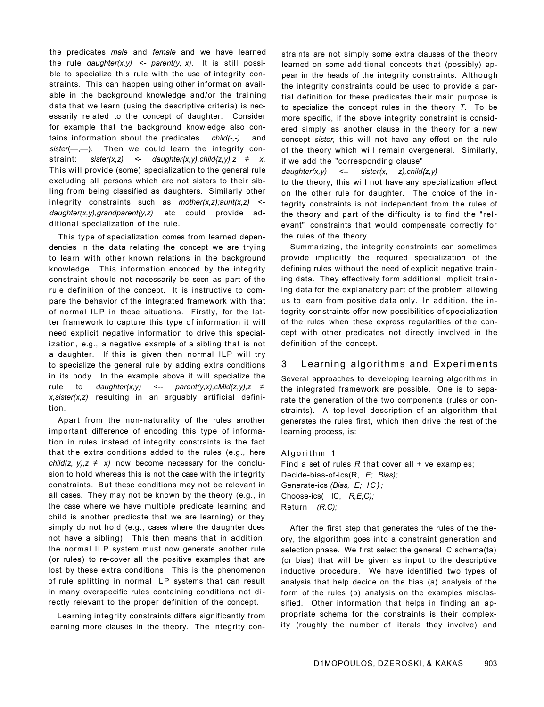the predicates *male* and *female* and we have learned the rule *daughter(x,y) <- parent(y*, *x)*. It is still possible to specialize this rule with the use of integrity constraints. This can happen using other information available in the background knowledge and/or the training data that we learn (using the descriptive criteria) is necessarily related to the concept of daughter. Consider for example that the background knowledge also contains information about the predicates *child(-,-)* and sister(---). Then we could learn the integrity constraint: *sister(x,z) <*- *daughter{x,y),child{z,y),z* ≠ *x.*  This will provide (some) specialization to the general rule excluding all persons which are not sisters to their sibling from being classified as daughters. Similarly other integrity constraints such as *mother(x,z);aunt(x,z) < daughter(x,y),grandparent(y,z)* etc could provide additional specialization of the rule.

This type of specialization comes from learned dependencies in the data relating the concept we are trying to learn with other known relations in the background knowledge. This information encoded by the integrity constraint should not necessarily be seen as part of the rule definition of the concept. It is instructive to compare the behavior of the integrated framework with that of normal ILP in these situations. Firstly, for the latter framework to capture this type of information it will need explicit negative information to drive this specialization, e.g., a negative example of a sibling that is not a daughter. If this is given then normal ILP will try to specialize the general rule by adding extra conditions in its body. In the example above it will specialize the rule to *daughter(x,y) <-*- *parent(y,x),cMld(z,y),z* ≠ *x,sister(x,z)* resulting in an arguably artificial definition.

Apart from the non-naturality of the rules another important difference of encoding this type of information in rules instead of integrity constraints is the fact that the extra conditions added to the rules (e.g., here *child(z, y),z*  $\neq$  *x)* now become necessary for the conclusion to hold whereas this is not the case with the integrity constraints. But these conditions may not be relevant in all cases. They may not be known by the theory (e.g., in the case where we have multiple predicate learning and child is another predicate that we are learning) or they simply do not hold (e.g., cases where the daughter does not have a sibling). This then means that in addition, the normal ILP system must now generate another rule (or rules) to re-cover all the positive examples that are lost by these extra conditions. This is the phenomenon of rule splitting in normal ILP systems that can result in many overspecific rules containing conditions not directly relevant to the proper definition of the concept.

Learning integrity constraints differs significantly from learning more clauses in the theory. The integrity con-

straints are not simply some extra clauses of the theory learned on some additional concepts that (possibly) appear in the heads of the integrity constraints. Although the integrity constraints could be used to provide a partial definition for these predicates their main purpose is to specialize the concept rules in the theory *T.* To be more specific, if the above integrity constraint is considered simply as another clause in the theory for a new concept *sister,* this will not have any effect on the rule of the theory which will remain overgeneral. Similarly, if we add the "corresponding clause"

*daughter(x,y) <-*- *sister(x, z),child{z,y)*  to the theory, this will not have any specialization effect

on the other rule for daughter. The choice of the integrity constraints is not independent from the rules of the theory and part of the difficulty is to find the "relevant" constraints that would compensate correctly for the rules of the theory.

Summarizing, the integrity constraints can sometimes provide implicitly the required specialization of the defining rules without the need of explicit negative training data. They effectively form additional implicit training data for the explanatory part of the problem allowing us to learn from positive data only. In addition, the integrity constraints offer new possibilities of specialization of the rules when these express regularities of the concept with other predicates not directly involved in the definition of the concept.

# 3 Learning algorithms and Experiments

Several approaches to developing learning algorithms in the integrated framework are possible. One is to separate the generation of the two components (rules or constraints). A top-level description of an algorithm that generates the rules first, which then drive the rest of the learning process, is:

Algorithm 1 Find a set of rules *R* that cover all + ve examples; Decide-bias-of-ics(R, *E; Bias);*  Generate-ics *(Bias, E; IC);*  Choose-ics( IC, *R,E;C);*  Return *(R,C);* 

After the first step that generates the rules of the theory, the algorithm goes into a constraint generation and selection phase. We first select the general IC schema(ta) (or bias) that will be given as input to the descriptive inductive procedure. We have identified two types of analysis that help decide on the bias (a) analysis of the form of the rules (b) analysis on the examples misclassified. Other information that helps in finding an appropriate schema for the constraints is their complexity (roughly the number of literals they involve) and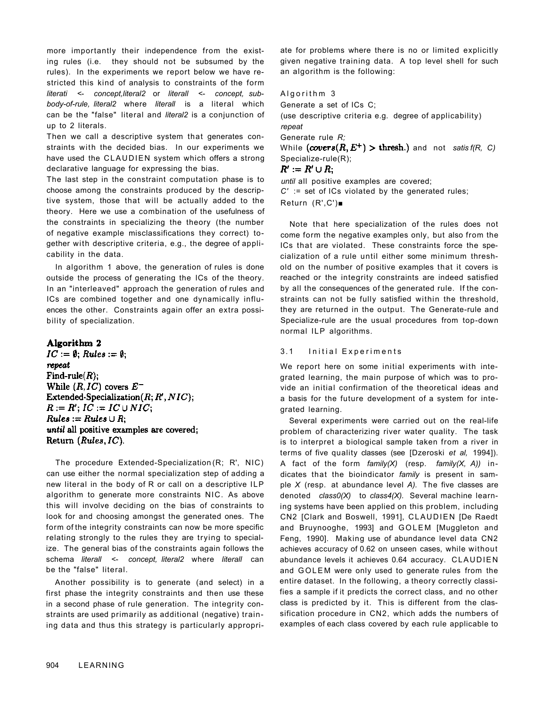more importantly their independence from the existing rules (i.e. they should not be subsumed by the rules). In the experiments we report below we have restricted this kind of analysis to constraints of the form *literati <*- *concept,literal2* or *literall <*- *concept, subbody-of-rule, literal2* where *literall* is a literal which can be the "false" literal and *literal2* is a conjunction of up to 2 literals.

Then we call a descriptive system that generates constraints with the decided bias. In our experiments we have used the CLAUDIEN system which offers a strong declarative language for expressing the bias.

The last step in the constraint computation phase is to choose among the constraints produced by the descriptive system, those that will be actually added to the theory. Here we use a combination of the usefulness of the constraints in specializing the theory (the number of negative example misclassifications they correct) together with descriptive criteria, e.g., the degree of applicability in the data.

In algorithm 1 above, the generation of rules is done outside the process of generating the ICs of the theory. In an "interleaved" approach the generation of rules and ICs are combined together and one dynamically influences the other. Constraints again offer an extra possibility of specialization.

### Algorithm 2

 $IC := \emptyset$ ; Rules :=  $\emptyset$ ; repeat Find-rule $(R)$ ; While  $(R, IC)$  covers  $E^-$ Extended-Specialization $(R; R', NIC);$  $R := R'; IC := IC \cup NIC;$  $Rules := Rules \cup R$ until all positive examples are covered; Return  $(Rules, IC)$ .

The procedure Extended-Specialization (R; R', NIC) can use either the normal specialization step of adding a new literal in the body of R or call on a descriptive ILP algorithm to generate more constraints NIC. As above this will involve deciding on the bias of constraints to look for and choosing amongst the generated ones. The form of the integrity constraints can now be more specific relating strongly to the rules they are trying to specialize. The general bias of the constraints again follows the schema *literall <*- *concept, literal2* where *literall* can be the "false" literal.

Another possibility is to generate (and select) in a first phase the integrity constraints and then use these in a second phase of rule generation. The integrity constraints are used primarily as additional (negative) training data and thus this strategy is particularly appropriate for problems where there is no or limited explicitly given negative training data. A top level shell for such an algorithm is the following:

Algorithm 3 Generate a set of ICs C; (use descriptive criteria e.g. degree of applicability) *repeat*  Generate rule *R;*  While  $(covers(R, E^+) >$  thresh.) and not satis  $f(R, C)$ Specialize-rule(R);  $R' := R' \cup R$ *until* all positive examples are covered; *C'* := set of ICs violated by the generated rules; Return (R',C')■

Note that here specialization of the rules does not come form the negative examples only, but also from the ICs that are violated. These constraints force the specialization of a rule until either some minimum threshold on the number of positive examples that it covers is reached or the integrity constraints are indeed satisfied by all the consequences of the generated rule. If the constraints can not be fully satisfied within the threshold, they are returned in the output. The Generate-rule and Specialize-rule are the usual procedures from top-down normal ILP algorithms.

#### 3.1 Initial Experiments

We report here on some initial experiments with integrated learning, the main purpose of which was to provide an initial confirmation of the theoretical ideas and a basis for the future development of a system for integrated learning.

Several experiments were carried out on the real-life problem of characterizing river water quality. The task is to interpret a biological sample taken from a river in terms of five quality classes (see [Dzeroski *et al,* 1994]). A fact of the form *family(X)* (resp. *family(X, A))* indicates that the bioindicator *family* is present in sample *X* (resp. at abundance level *A).* The five classes are denoted *class0(X)* to *class4(X).* Several machine learning systems have been applied on this problem, including CN2 [Clark and Boswell, 1991], CLAUDIEN [De Raedt and Bruynooghe, 1993] and GOLEM [Muggleton and Feng, 1990]. Making use of abundance level data CN2 achieves accuracy of 0.62 on unseen cases, while without abundance levels it achieves 0.64 accuracy. CLAUDIEN and GOLEM were only used to generate rules from the entire dataset. In the following, a theory correctly classifies a sample if it predicts the correct class, and no other class is predicted by it. This is different from the classification procedure in CN2, which adds the numbers of examples of each class covered by each rule applicable to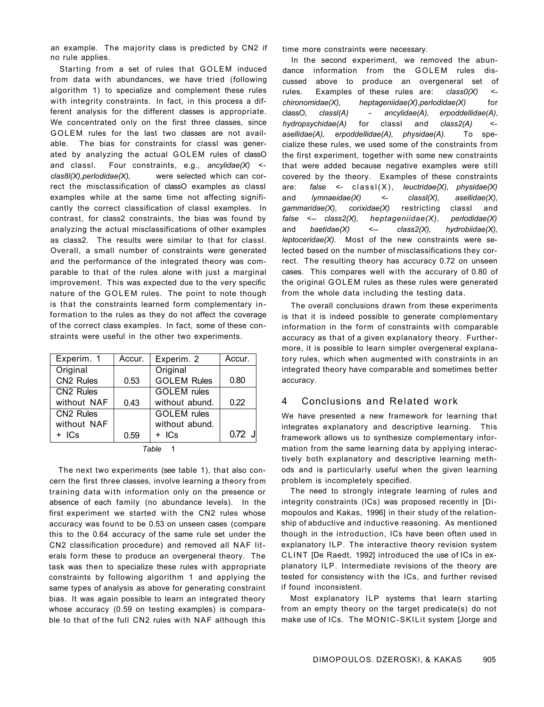an example. The majority class is predicted by CN2 if no rule applies.

Starting from a set of rules that GOLEM induced from data with abundances, we have tried (following algorithm 1) to specialize and complement these rules with integrity constraints. In fact, in this process a different analysis for the different classes is appropriate. We concentrated only on the first three classes, since GOLEM rules for the last two classes are not available. The bias for constraints for classl was generated by analyzing the actual GOLEM rules of classO and classl. Four constraints, e.g., *ancylidae(X)* < *clas8l(X),perlodidae(X),* were selected which can correct the misclassification of classO examples as classl examples while at the same time not affecting significantly the correct classification of classl examples. In contrast, for class2 constraints, the bias was found by analyzing the actual misclassifications of other examples as class2. The results were similar to that for classl. Overall, a small number of constraints were generated and the performance of the integrated theory was comparable to that of the rules alone with just a marginal improvement. This was expected due to the very specific nature of the GOLEM rules. The point to note though is that the constraints learned form complementary information to the rules as they do not affect the coverage of the correct class examples. In fact, some of these constraints were useful in the other two experiments.

| Experim. 1            | Accur. | Experim. 2         | Accur.   |
|-----------------------|--------|--------------------|----------|
| Original              |        | Original           |          |
| CN2 Rules             | 0.53   | <b>GOLEM Rules</b> | 0.80     |
| CN <sub>2</sub> Rules |        | <b>GOLEM</b> rules |          |
| without NAF           | 0.43   | without abund.     | 0.22     |
| CN <sub>2</sub> Rules |        | <b>GOLEM</b> rules |          |
| without NAF           |        | without abund.     |          |
| + ICs                 | 0.59   | $+$ ICs            | $0.72$ J |

| Table |  |
|-------|--|
|-------|--|

The next two experiments (see table 1), that also concern the first three classes, involve learning a theory from training data with information only on the presence or absence of each family (no abundance levels). In the first experiment we started with the CN2 rules whose accuracy was found to be 0.53 on unseen cases (compare this to the 0.64 accuracy of the same rule set under the CN2 classification procedure) and removed all NAF literals form these to produce an overgeneral theory. The task was then to specialize these rules with appropriate constraints by following algorithm 1 and applying the same types of analysis as above for generating constraint bias. It was again possible to learn an integrated theory whose accuracy (0.59 on testing examples) is comparable to that of the full CN2 rules with NAF although this time more constraints were necessary.

In the second experiment, we removed the abundance information from the GOLEM rules discussed above to produce an overgeneral set of rules. Examples of these rules are: *class0(X) < chironomidae(X), heptageniidae(X),perlodidae(X)* for classO, *classl(A)* - *ancylidae(A), erpoddellidae(A)*, *hydropsychidae(A)* for classl and *class2(A)* < *asellidae(A), erpoddellidae(A), physidae(A).* To specialize these rules, we used some of the constraints from the first experiment, together with some new constraints that were added because negative examples were still covered by the theory. Examples of these constraints are: *false <*- classl(X), *leuctridae{X), physidae{X)*  and *lymnaeidae(X) <*- *classl(X), asellidae(X), gammaridae(X), corixidae(X)* restricting classl and *false <-- class2(X), heptageniidae(X), perlodidae(X)*  and *baetidae(X) <-*- *class2(X), hydrobiidae(X), leptoceridae(X).* Most of the new constraints were selected based on the number of misclassifications they correct. The resulting theory has accuracy 0.72 on unseen cases. This compares well with the accurary of 0.80 of the original GOLEM rules as these rules were generated from the whole data including the testing data.

The overall conclusions drawn from these experiments is that it is indeed possible to generate complementary information in the form of constraints with comparable accuracy as that of a given explanatory theory. Furthermore, it is possible to learn simpler overgeneral explanatory rules, which when augmented with constraints in an integrated theory have comparable and sometimes better accuracy.

### 4 Conclusions and Related work

We have presented a new framework for learning that integrates explanatory and descriptive learning. This framework allows us to synthesize complementary information from the same learning data by applying interactively both explanatory and descriptive learning methods and is particularly useful when the given learning problem is incompletely specified.

The need to strongly integrate learning of rules and integrity constraints (ICs) was proposed recently in [Dimopoulos and Kakas, 1996] in their study of the relationship of abductive and inductive reasoning. As mentioned though in the introduction, ICs have been often used in explanatory ILP. The interactive theory revision system CLINT [De Raedt, 1992] introduced the use of ICs in explanatory ILP. Intermediate revisions of the theory are tested for consistency with the ICs, and further revised if found inconsistent.

Most explanatory ILP systems that learn starting from an empty theory on the target predicate(s) do not make use of ICs. The MONIC-SKILit system [Jorge and